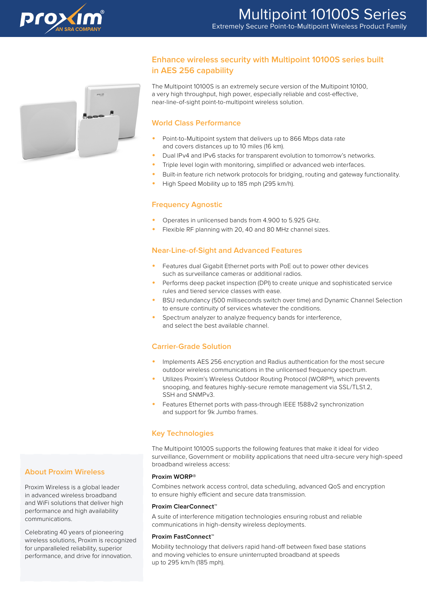



# **Enhance wireless security with Multipoint 10100S series built in AES 256 capability**

The Multipoint 10100S is an extremely secure version of the Multipoint 10100, a very high throughput, high power, especially reliable and cost-effective, near-line-of-sight point-to-multipoint wireless solution.

### **World Class Performance**

- Point-to-Multipoint system that delivers up to 866 Mbps data rate and covers distances up to 10 miles (16 km).
- Dual IPv4 and IPv6 stacks for transparent evolution to tomorrow's networks.
- Triple level login with monitoring, simplified or advanced web interfaces.
- Built-in feature rich network protocols for bridging, routing and gateway functionality.
- High Speed Mobility up to 185 mph (295 km/h).

### **Frequency Agnostic**

- Operates in unlicensed bands from 4.900 to 5.925 GHz.
- Flexible RF planning with 20, 40 and 80 MHz channel sizes.

### **Near-Line-of-Sight and Advanced Features**

- Features dual Gigabit Ethernet ports with PoE out to power other devices such as surveillance cameras or additional radios.
- Performs deep packet inspection (DPI) to create unique and sophisticated service rules and tiered service classes with ease.
- BSU redundancy (500 milliseconds switch over time) and Dynamic Channel Selection to ensure continuity of services whatever the conditions.
- Spectrum analyzer to analyze frequency bands for interference, and select the best available channel.

## **Carrier-Grade Solution**

- Implements AES 256 encryption and Radius authentication for the most secure outdoor wireless communications in the unlicensed frequency spectrum.
- Utilizes Proxim's Wireless Outdoor Routing Protocol (WORP®), which prevents snooping, and features highly-secure remote management via SSL/TLS1.2, SSH and SNMPv3.
- Features Ethernet ports with pass-through IEEE 1588v2 synchronization and support for 9k Jumbo frames.

### **Key Technologies**

The Multipoint 10100S supports the following features that make it ideal for video surveillance, Government or mobility applications that need ultra-secure very high-speed broadband wireless access:

#### **Proxim WORP®**

Combines network access control, data scheduling, advanced QoS and encryption to ensure highly efficient and secure data transmission.

#### **Proxim ClearConnect™**

A suite of interference mitigation technologies ensuring robust and reliable communications in high-density wireless deployments.

#### **Proxim FastConnect™**

Mobility technology that delivers rapid hand-off between fixed base stations and moving vehicles to ensure uninterrupted broadband at speeds up to 295 km/h (185 mph).

## **About Proxim Wireless**

Proxim Wireless is a global leader in advanced wireless broadband and WiFi solutions that deliver high performance and high availability communications.

Celebrating 40 years of pioneering wireless solutions, Proxim is recognized for unparalleled reliability, superior performance, and drive for innovation.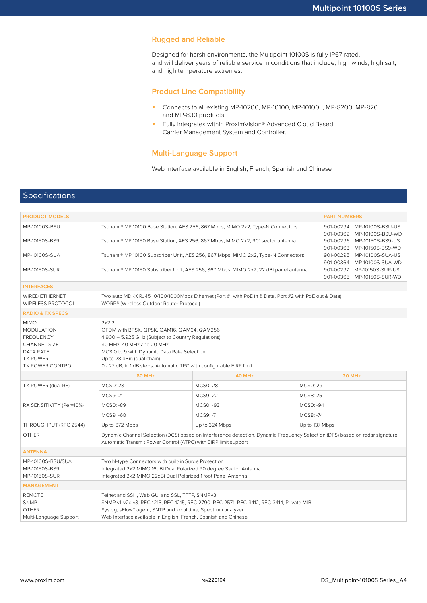### **Rugged and Reliable**

Designed for harsh environments, the Multipoint 10100S is fully IP67 rated, and will deliver years of reliable service in conditions that include, high winds, high salt, and high temperature extremes.

### **Product Line Compatibility**

- Connects to all existing MP-10200, MP-10100, MP-10100L, MP-8200, MP-820 and MP-830 products.
- Fully integrates within ProximVision® Advanced Cloud Based Carrier Management System and Controller.

### **Multi-Language Support**

Web Interface available in English, French, Spanish and Chinese

## Specifications

| <b>PRODUCT MODELS</b>                                                                                                           |                                                                                                                                                                                                                                                                                            |                                                          |                | <b>PART NUMBERS</b>                                      |  |  |  |
|---------------------------------------------------------------------------------------------------------------------------------|--------------------------------------------------------------------------------------------------------------------------------------------------------------------------------------------------------------------------------------------------------------------------------------------|----------------------------------------------------------|----------------|----------------------------------------------------------|--|--|--|
| MP-10100S-BSU                                                                                                                   | Tsunami® MP 10100 Base Station, AES 256, 867 Mbps, MIMO 2x2, Type-N Connectors<br>901-00294 MP-10100S-BSU-US<br>901-00362 MP-10100S-BSU-WD                                                                                                                                                 |                                                          |                |                                                          |  |  |  |
| MP-10150S-BS9                                                                                                                   | Tsunami® MP 10150 Base Station, AES 256, 867 Mbps, MIMO 2x2, 90° sector antenna                                                                                                                                                                                                            | 901-00296 MP-10150S-BS9-US<br>901-00363 MP-10150S-BS9-WD |                |                                                          |  |  |  |
| MP-10100S-SUA                                                                                                                   | Tsunami® MP 10100 Subscriber Unit, AES 256, 867 Mbps, MIMO 2x2, Type-N Connectors                                                                                                                                                                                                          |                                                          |                | 901-00295 MP-10100S-SUA-US<br>901-00364 MP-10100S-SUA-WD |  |  |  |
| MP-10150S-SUR                                                                                                                   | Tsunami® MP 10150 Subscriber Unit, AES 256, 867 Mbps, MIMO 2x2, 22 dBi panel antenna                                                                                                                                                                                                       |                                                          |                | 901-00297 MP-10150S-SUR-US<br>901-00365 MP-10150S-SUR-WD |  |  |  |
| <b>INTERFACES</b>                                                                                                               |                                                                                                                                                                                                                                                                                            |                                                          |                |                                                          |  |  |  |
| WIRED ETHERNET<br>WIRELESS PROTOCOL                                                                                             | Two auto MDI-X RJ45 10/100/1000Mbps Ethernet (Port #1 with PoE in & Data, Port #2 with PoE out & Data)<br>WORP® (Wireless Outdoor Router Protocol)                                                                                                                                         |                                                          |                |                                                          |  |  |  |
| <b>RADIO &amp; TX SPECS</b>                                                                                                     |                                                                                                                                                                                                                                                                                            |                                                          |                |                                                          |  |  |  |
| <b>MIMO</b><br><b>MODULATION</b><br><b>FREQUENCY</b><br>CHANNEL SIZE<br>DATA RATE<br><b>TX POWER</b><br><b>TX POWER CONTROL</b> | 2x2:2<br>OFDM with BPSK, QPSK, QAM16, QAM64, QAM256<br>4.900 - 5.925 GHz (Subject to Country Regulations)<br>80 MHz, 40 MHz and 20 MHz<br>MCS 0 to 9 with Dynamic Data Rate Selection<br>Up to 28 dBm (dual chain)<br>0 - 27 dB, in 1 dB steps. Automatic TPC with configurable EIRP limit |                                                          |                |                                                          |  |  |  |
|                                                                                                                                 | <b>80 MHz</b>                                                                                                                                                                                                                                                                              | 40 MHz                                                   |                | 20 MHz                                                   |  |  |  |
| TX POWER (dual RF)                                                                                                              | <b>MCS0:28</b>                                                                                                                                                                                                                                                                             | <b>MCS0:28</b>                                           | <b>MCS0:29</b> |                                                          |  |  |  |
|                                                                                                                                 | MCS9: 21                                                                                                                                                                                                                                                                                   | MCS9: 22                                                 | MCS8: 25       |                                                          |  |  |  |
| RX SENSITIVITY (Per=10%)                                                                                                        | MCS0: -89                                                                                                                                                                                                                                                                                  | MCS0: -93                                                | MCS0: -94      |                                                          |  |  |  |
|                                                                                                                                 | MCS9: -68                                                                                                                                                                                                                                                                                  | MCS9: -71                                                | MCS8: -74      |                                                          |  |  |  |
| THROUGHPUT (RFC 2544)                                                                                                           | Up to 672 Mbps                                                                                                                                                                                                                                                                             | Up to 324 Mbps                                           | Up to 137 Mbps |                                                          |  |  |  |
| <b>OTHER</b>                                                                                                                    | Dynamic Channel Selection (DCS) based on interference detection, Dynamic Frequency Selection (DFS) based on radar signature<br>Automatic Transmit Power Control (ATPC) with EIRP limit support                                                                                             |                                                          |                |                                                          |  |  |  |
| <b>ANTENNA</b>                                                                                                                  |                                                                                                                                                                                                                                                                                            |                                                          |                |                                                          |  |  |  |
| MP-10100S-BSU/SUA<br>MP-10150S-BS9<br>MP-10150S-SUR                                                                             | Two N-type Connectors with built-in Surge Protection<br>Integrated 2x2 MIMO 16dBi Dual Polarized 90 degree Sector Antenna<br>Integrated 2x2 MIMO 22dBi Dual Polarized 1 foot Panel Antenna                                                                                                 |                                                          |                |                                                          |  |  |  |
| <b>MANAGEMENT</b>                                                                                                               |                                                                                                                                                                                                                                                                                            |                                                          |                |                                                          |  |  |  |
| <b>REMOTE</b><br><b>SNMP</b><br><b>OTHER</b><br>Multi-Language Support                                                          | Telnet and SSH, Web GUI and SSL, TFTP, SNMPv3<br>SNMP v1-v2c-v3, RFC-1213, RFC-1215, RFC-2790, RFC-2571, RFC-3412, RFC-3414, Private MIB<br>Syslog, sFlow™ agent, SNTP and local time, Spectrum analyzer<br>Web Interface available in English, French, Spanish and Chinese                |                                                          |                |                                                          |  |  |  |